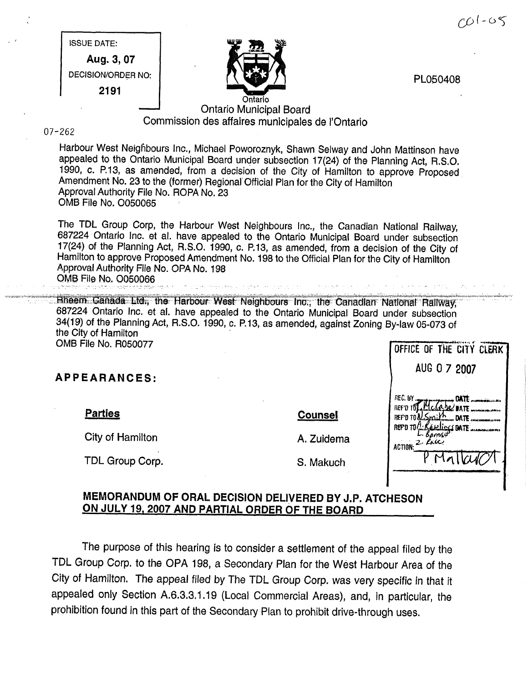$CO1 - O5$ 

|  | PL050408 |  |  |
|--|----------|--|--|
|--|----------|--|--|

# **ISSUE DATE:** Aug. 3, 07 **DECISION/ORDER NO:** 2191



## **Ontario Municipal Board** Commission des affaires municipales de l'Ontario

#### $07 - 262$

Harbour West Neighbours Inc., Michael Poworoznyk, Shawn Selway and John Mattinson have appealed to the Ontario Municipal Board under subsection 17(24) of the Planning Act, R.S.O. 1990, c. P.13, as amended, from a decision of the City of Hamilton to approve Proposed Amendment No. 23 to the (former) Regional Official Plan for the City of Hamilton Approval Authority File No. ROPA No. 23 OMB File No. O050065

The TDL Group Corp, the Harbour West Neighbours Inc., the Canadian National Railway, 687224 Ontario Inc. et al. have appealed to the Ontario Municipal Board under subsection 17(24) of the Planning Act, R.S.O. 1990, c. P.13, as amended, from a decision of the City of Hamilton to approve Proposed Amendment No. 198 to the Official Plan for the City of Hamilton Approval Authority File No. OPA No. 198 OMB File No. O050066

Hheem Ganada Ltd., the Harbour West Neighbours Inc., the Canadian National Railway, 687224 Ontario Inc. et al. have appealed to the Ontario Municipal Board under subsection 34(19) of the Planning Act, R.S.O. 1990, c. P.13, as amended, against Zoning By-law 05-073 of the City of Hamilton **OMB File No. R050077** 

**APPEARANCES:** 

**Parties** 

City of Hamilton

TDL Group Corp.

#### **Counsel**

A. Zuidema

S. Makuch

|                             | AUG U / 2007               |  |
|-----------------------------|----------------------------|--|
|                             |                            |  |
| REF'D TON Smit              | $\Lambda$ <sub></sub> DATE |  |
| REPO TOA: Karlic<br>Barross | <b>SBATE</b>               |  |
| ACTION: 2. RAICY            |                            |  |
|                             | Vallado                    |  |
|                             |                            |  |

OFFICE OF THE CITY CLERK  $\mathbf{1}$ 

### MEMORANDUM OF ORAL DECISION DELIVERED BY J.P. ATCHESON ON JULY 19, 2007 AND PARTIAL ORDER OF THE BOARD

The purpose of this hearing is to consider a settlement of the appeal filed by the TDL Group Corp. to the OPA 198, a Secondary Plan for the West Harbour Area of the City of Hamilton. The appeal filed by The TDL Group Corp. was very specific in that it appealed only Section A.6.3.3.1.19 (Local Commercial Areas), and, in particular, the prohibition found in this part of the Secondary Plan to prohibit drive-through uses.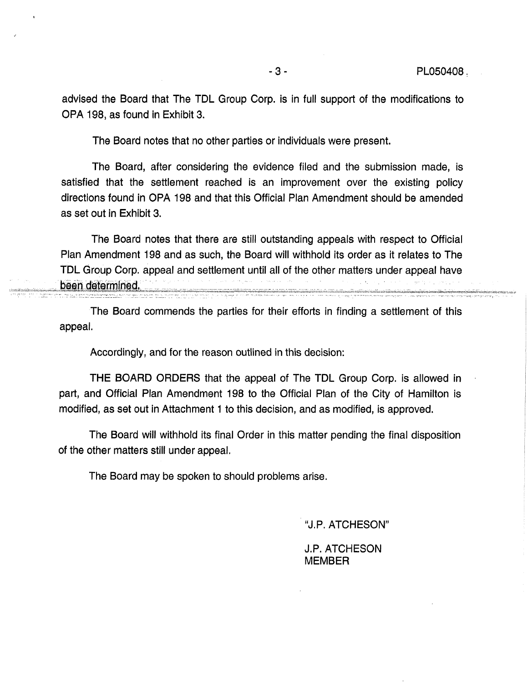advised the Board that The TDL Group Corp. is in full support of the modifications to OPA 198, as found in Exhibit 3.

The Board notes that no other parties or individuals were present.

i

The Board, after considering the evidence filed and the submission made, is satisfied that the settlement reached is an improvement over the existing policy directions found in OPA 198 and that this Official Plan Amendment should be amended as set out in Exhibit 3.

The Board notes that there are still outstanding appeals with respect to Official Plan Amendment 198 and as such, the Board will withhold its order as it relates to The TDL Group Corp. appeal and settlement until all of the other matters under appeal have been determined.

The Board commends the parties for their efforts in finding a settlement of this appeal.

Accordingly, and for the reason outlined in this decision:

THE BOARD ORDERS that the appeal of The TDL Group Corp. is allowed in part, and Official Plan Amendment 198 to the Official Plan of the City of Hamilton is modified, as set out in Attachment 1 to this decision, and as modified, is approved.

The Board will withhold its final Order in this matter pending the final disposition of the other matters still under appeal.

The Board may be spoken to should problems arise.

"J.P. ATCHESON"

J.P. ATCHESON MEMBER